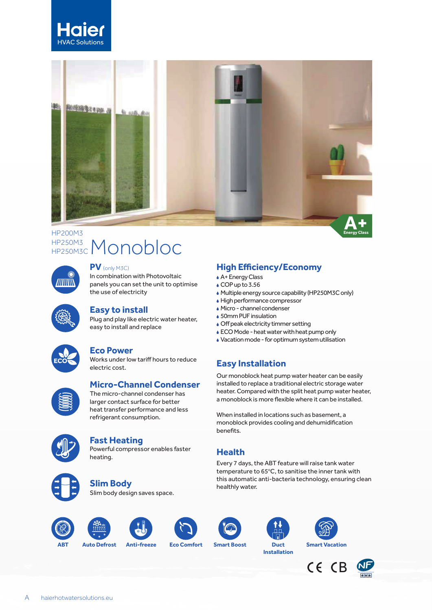



## HP250M3C Monobloc HP200M3 HP250M3C



#### **PV** (only M3C)

In combination with Photovoltaic panels you can set the unit to optimise the use of electricity

Plug and play like electric water heater, easy to install and replace **Easy to install**



### **Eco Power**

Works under low tariff hours to reduce electric cost.



## **Micro-Channel Condenser**

The micro-channel condenser has larger contact surface for better heat transfer performance and less refrigerant consumption.



### **Fast Heating**

Powerful compressor enables faster heating.



## **Slim Body**

Slim body design saves space.





























**Energy Class**

#### A+ Energy Class **High Efficiency/Economy**

- $\triangle$  COP up to 3.56
- Multiple energy source capability (HP250M3C only)
- High performance compressor
- Micro channel condenser
- ▲ 50mm PUF insulation
- Off peak electricity timmer setting
- ECO Mode heat water with heat pump only
- Vacation mode for optimum system utilisation

# **Easy Installation**

Our monoblock heat pump water heater can be easily installed to replace a traditional electric storage water heater. Compared with the split heat pump water heater, a monoblock is more flexible where it can be installed.

When installed in locations such as basement, a monoblock provides cooling and dehumidification benefits.

## **Health**

Every 7 days, the ABT feature will raise tank water temperature to 65°C, to sanitise the inner tank with this automatic anti-bacteria technology, ensuring clean healthly water.